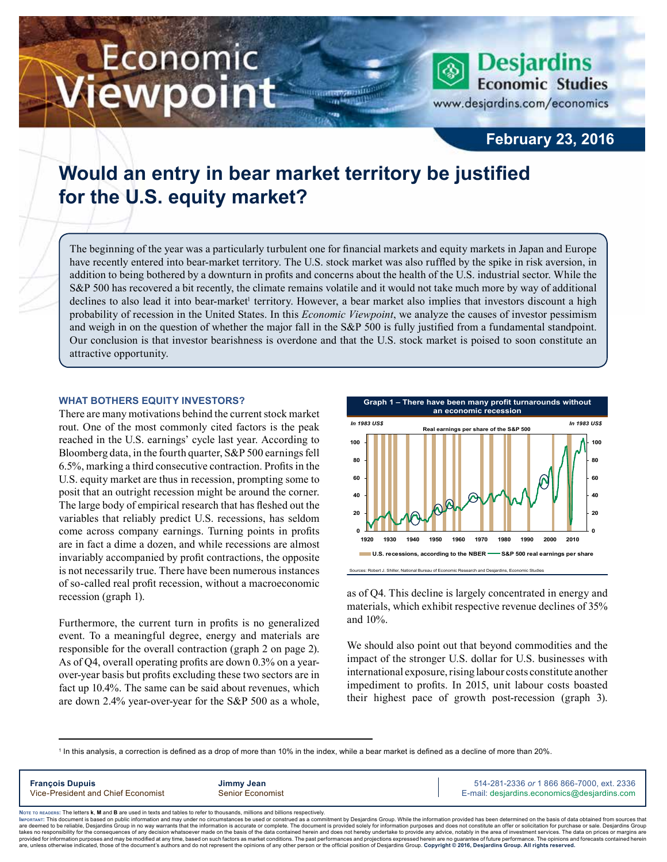# Economic iewpoint

**Desjardins Economic Studies** www.desjardins.com/economics

### **February 23, 2016**

## **Would an entry in bear market territory be justified for the U.S. equity market?**

The beginning of the year was a particularly turbulent one for financial markets and equity markets in Japan and Europe have recently entered into bear-market territory. The U.S. stock market was also ruffled by the spike in risk aversion, in addition to being bothered by a downturn in profits and concerns about the health of the U.S. industrial sector. While the S&P 500 has recovered a bit recently, the climate remains volatile and it would not take much more by way of additional declines to also lead it into bear-market<sup>1</sup> territory. However, a bear market also implies that investors discount a high probability of recession in the United States. In this *Economic Viewpoint*, we analyze the causes of investor pessimism and weigh in on the question of whether the major fall in the S&P 500 is fully justified from a fundamental standpoint. Our conclusion is that investor bearishness is overdone and that the U.S. stock market is poised to soon constitute an attractive opportunity.

#### **What bothers equity investors?**

There are many motivations behind the current stock market rout. One of the most commonly cited factors is the peak reached in the U.S. earnings' cycle last year. According to Bloomberg data, in the fourth quarter, S&P 500 earnings fell 6.5%, marking a third consecutive contraction. Profits in the U.S. equity market are thus in recession, prompting some to posit that an outright recession might be around the corner. The large body of empirical research that has fleshed out the variables that reliably predict U.S. recessions, has seldom come across company earnings. Turning points in profits are in fact a dime a dozen, and while recessions are almost invariably accompanied by profit contractions, the opposite is not necessarily true. There have been numerous instances of so-called real profit recession, without a macroeconomic recession (graph 1).

Furthermore, the current turn in profits is no generalized event. To a meaningful degree, energy and materials are responsible for the overall contraction (graph 2 on page 2). As of Q4, overall operating profits are down 0.3% on a yearover-year basis but profits excluding these two sectors are in fact up 10.4%. The same can be said about revenues, which are down 2.4% year-over-year for the S&P 500 as a whole,



as of Q4. This decline is largely concentrated in energy and materials, which exhibit respective revenue declines of 35% and 10%.

We should also point out that beyond commodities and the impact of the stronger U.S. dollar for U.S. businesses with international exposure, rising labour costs constitute another impediment to profits. In 2015, unit labour costs boasted their highest pace of growth post-recession (graph 3).

1 In this analysis, a correction is defined as a drop of more than 10% in the index, while a bear market is defined as a decline of more than 20%.

**François Dupuis Jimmy Jean** 514-281-2336 *or* 1 866 866-7000, ext. 2336 Vice-President and Chief Economist Senior Economist Senior Economist E-mail: desjardins.economics@desjardins.com

Noте то келоекs: The letters **k, M** and **B** are used in texts and tables to refer to thousands, millions and billions respectively.<br>Імроктлит: This document is based on public information and may under no circumstances be are deemed to be reliable. Desiardins Group in no way warrants that the information is accurate or complete. The document is provided solely for information purposes and does not constitute an offer or solicitation for pur takes no responsibility for the consequences of any decision whatsoever made on the basis of the data contained herein and does not hereby undertake to provide any advice, notably in the area of investment services. The da .<br>are, unless otherwise indicated, those of the document's authors and do not represent the opinions of any other person or the official position of Desjardins Group. Copyright @ 2016, Desjardins Group. All rights reserved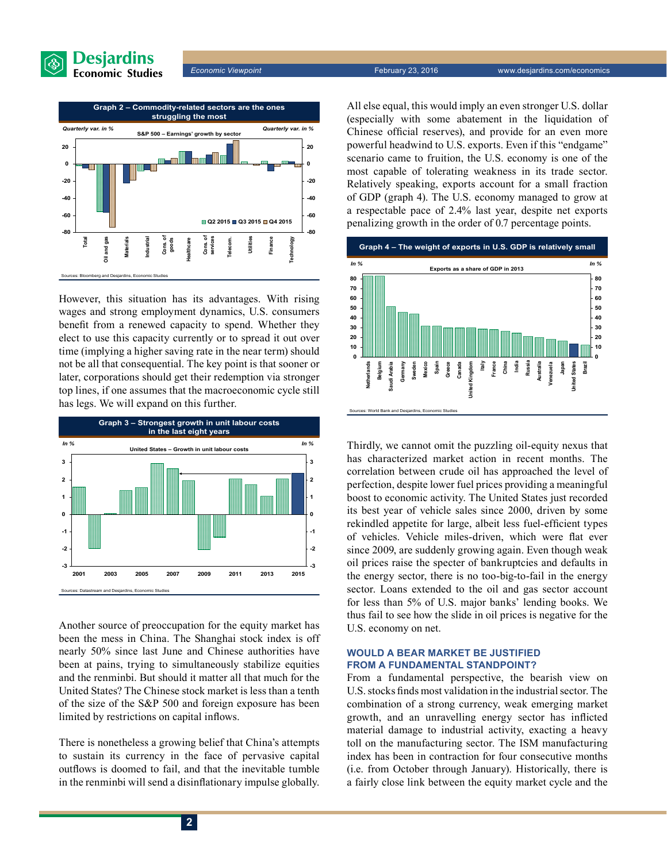



However, this situation has its advantages. With rising wages and strong employment dynamics, U.S. consumers benefit from a renewed capacity to spend. Whether they elect to use this capacity currently or to spread it out over time (implying a higher saving rate in the near term) should not be all that consequential. The key point is that sooner or later, corporations should get their redemption via stronger top lines, if one assumes that the macroeconomic cycle still has legs. We will expand on this further.



Another source of preoccupation for the equity market has been the mess in China. The Shanghai stock index is off nearly 50% since last June and Chinese authorities have been at pains, trying to simultaneously stabilize equities and the renminbi. But should it matter all that much for the United States? The Chinese stock market is less than a tenth of the size of the S&P 500 and foreign exposure has been limited by restrictions on capital inflows.

There is nonetheless a growing belief that China's attempts to sustain its currency in the face of pervasive capital outflows is doomed to fail, and that the inevitable tumble in the renminbi will send a disinflationary impulse globally. All else equal, this would imply an even stronger U.S. dollar (especially with some abatement in the liquidation of Chinese official reserves), and provide for an even more powerful headwind to U.S. exports. Even if this "endgame" scenario came to fruition, the U.S. economy is one of the most capable of tolerating weakness in its trade sector. Relatively speaking, exports account for a small fraction of GDP (graph 4). The U.S. economy managed to grow at a respectable pace of 2.4% last year, despite net exports penalizing growth in the order of 0.7 percentage points.



Thirdly, we cannot omit the puzzling oil-equity nexus that has characterized market action in recent months. The correlation between crude oil has approached the level of perfection, despite lower fuel prices providing a meaningful boost to economic activity. The United States just recorded its best year of vehicle sales since 2000, driven by some rekindled appetite for large, albeit less fuel-efficient types of vehicles. Vehicle miles-driven, which were flat ever since 2009, are suddenly growing again. Even though weak oil prices raise the specter of bankruptcies and defaults in the energy sector, there is no too-big-to-fail in the energy sector. Loans extended to the oil and gas sector account for less than 5% of U.S. major banks' lending books. We thus fail to see how the slide in oil prices is negative for the U.S. economy on net.

#### **Would a bear market be justified from a fundamental standpoint?**

From a fundamental perspective, the bearish view on U.S.stocks finds most validation in the industrial sector. The combination of a strong currency, weak emerging market growth, and an unravelling energy sector has inflicted material damage to industrial activity, exacting a heavy toll on the manufacturing sector. The ISM manufacturing index has been in contraction for four consecutive months (i.e. from October through January). Historically, there is a fairly close link between the equity market cycle and the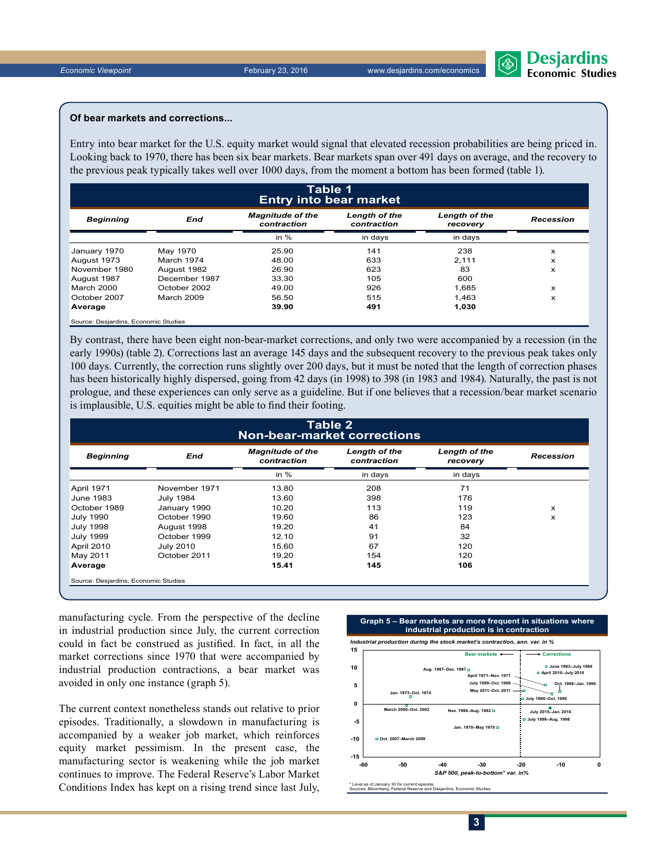#### **Of bear markets and corrections...**

Entry into bear market for the U.S. equity market would signal that elevated recession probabilities are being priced in. Looking back to 1970, there has been six bear markets. Bear markets span over 491 days on average, and the recovery to the previous peak typically takes well over 1000 days, from the moment a bottom has been formed (table 1).

|                                      | Table 1<br><b>Entry into bear market</b> |                                        |                                     |                           |                  |  |  |  |
|--------------------------------------|------------------------------------------|----------------------------------------|-------------------------------------|---------------------------|------------------|--|--|--|
| <b>Beginning</b>                     | End                                      | <b>Magnitude of the</b><br>contraction | <b>Length of the</b><br>contraction | Length of the<br>recovery | <b>Recession</b> |  |  |  |
|                                      |                                          | in $%$                                 | in days                             | in days                   |                  |  |  |  |
| January 1970                         | May 1970                                 | 25.90                                  | 141                                 | 238                       | x                |  |  |  |
| August 1973                          | March 1974                               | 48.00                                  | 633                                 | 2.111                     | x                |  |  |  |
| November 1980                        | August 1982                              | 26.90                                  | 623                                 | 83                        | x                |  |  |  |
| August 1987                          | December 1987                            | 33.30                                  | 105                                 | 600                       |                  |  |  |  |
| March 2000                           | October 2002                             | 49.00                                  | 926                                 | 1,685                     | x                |  |  |  |
| October 2007                         | March 2009                               | 56.50                                  | 515                                 | 1.463                     | x                |  |  |  |
| Average                              |                                          | 39.90                                  | 491                                 | 1,030                     |                  |  |  |  |
| Source: Desjardins, Economic Studies |                                          |                                        |                                     |                           |                  |  |  |  |

By contrast, there have been eight non-bear-market corrections, and only two were accompanied by a recession (in the early 1990s) (table 2). Corrections last an average 145 days and the subsequent recovery to the previous peak takes only 100 days. Currently, the correction runs slightly over 200 days, but it must be noted that the length of correction phases has been historically highly dispersed, going from 42 days (in 1998) to 398 (in 1983 and 1984). Naturally, the past is not prologue, and these experiences can only serve as a guideline. But if one believes that a recession/bear market scenario is implausible, U.S. equities might be able to find their footing.

| Table 2<br><b>Non-bear-market corrections</b> |                  |                                        |                              |                           |                  |  |  |
|-----------------------------------------------|------------------|----------------------------------------|------------------------------|---------------------------|------------------|--|--|
| <b>Beginning</b>                              | End              | <b>Magnitude of the</b><br>contraction | Length of the<br>contraction | Length of the<br>recovery | <b>Recession</b> |  |  |
|                                               |                  | in $%$                                 | in days                      | in days                   |                  |  |  |
| <b>April 1971</b>                             | November 1971    | 13.80                                  | 208                          | 71                        |                  |  |  |
| June 1983                                     | <b>July 1984</b> | 13.60                                  | 398                          | 176                       |                  |  |  |
| October 1989                                  | January 1990     | 10.20                                  | 113                          | 119                       | x                |  |  |
| <b>July 1990</b>                              | October 1990     | 19.60                                  | 86                           | 123                       | X                |  |  |
| <b>July 1998</b>                              | August 1998      | 19.20                                  | 41                           | 84                        |                  |  |  |
| <b>July 1999</b>                              | October 1999     | 12.10                                  | 91                           | 32                        |                  |  |  |
| April 2010                                    | <b>July 2010</b> | 15.60                                  | 67                           | 120                       |                  |  |  |
| May 2011                                      | October 2011     | 19.20                                  | 154                          | 120                       |                  |  |  |
| Average                                       |                  | 15.41                                  | 145                          | 106                       |                  |  |  |

manufacturing cycle. From the perspective of the decline in industrial production since July, the current correction could in fact be construed as justified. In fact, in all the market corrections since 1970 that were accompanied by industrial production contractions, a bear market was avoided in only one instance (graph 5).

The current context nonetheless stands out relative to prior episodes. Traditionally, a slowdown in manufacturing is accompanied by a weaker job market, which reinforces equity market pessimism. In the present case, the manufacturing sector is weakening while the job market continues to improve. The Federal Reserve's Labor Market Conditions Index has kept on a rising trend since last July,

#### **Graph 5 – Bear markets are more frequent in situations where industrial production is in contraction**





\* Level as of January 30 for current episode. Sources: Bloomberg, Federal Reserve and Desjardins, Economic Studies